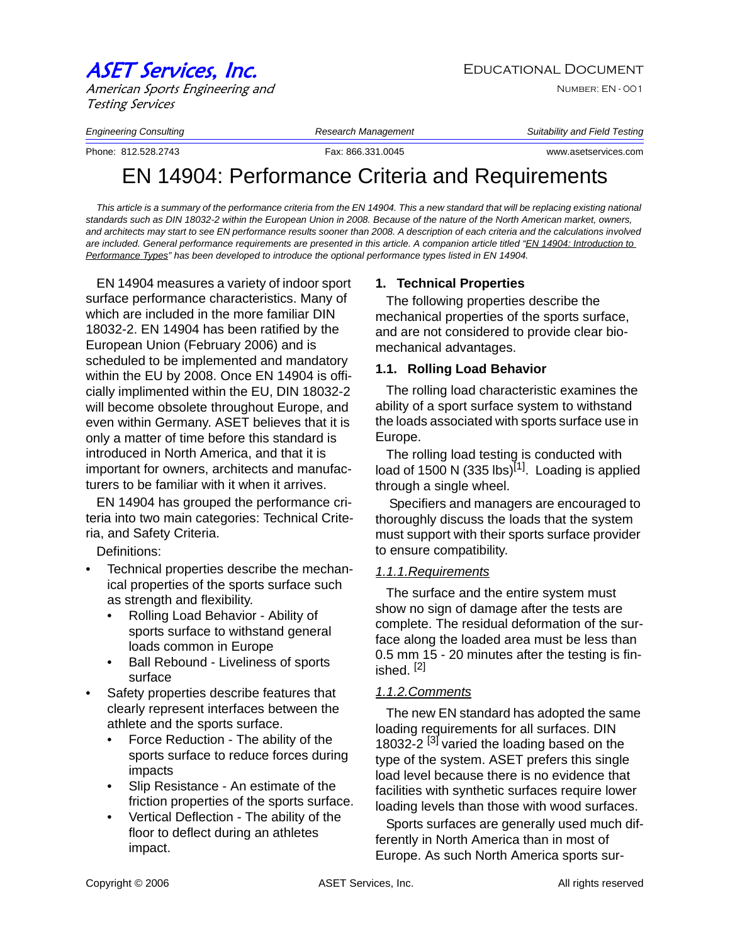# ASET Services, Inc. The Services of the Educational Document

American Sports Engineering and Testing Services

Number: EN - 001

*Engineering Consulting Research Management Suitability and Field Testing*

Phone: 812.528.2743 Fax: 866.331.0045 www.asetservices.com

# EN 14904: Performance Criteria and Requirements

This article is a summary of the performance criteria from the EN 14904. This a new standard that will be replacing existing national *standards such as DIN 18032-2 within the European Union in 2008. Because of the nature of the North American market, owners, and architects may start to see EN performance results sooner than 2008. A description of each criteria and the calculations involved are included. General performance requirements are presented in this article. A companion article titled "EN 14904: Introduction to Performance Types" has been developed to introduce the optional performance types listed in EN 14904.* 

EN 14904 measures a variety of indoor sport surface performance characteristics. Many of which are included in the more familiar DIN 18032-2. EN 14904 has been ratified by the European Union (February 2006) and is scheduled to be implemented and mandatory within the EU by 2008. Once EN 14904 is officially implimented within the EU, DIN 18032-2 will become obsolete throughout Europe, and even within Germany. ASET believes that it is only a matter of time before this standard is introduced in North America, and that it is important for owners, architects and manufacturers to be familiar with it when it arrives.

EN 14904 has grouped the performance criteria into two main categories: Technical Criteria, and Safety Criteria.

Definitions:

- Technical properties describe the mechanical properties of the sports surface such as strength and flexibility.
	- Rolling Load Behavior Ability of sports surface to withstand general loads common in Europe
	- Ball Rebound Liveliness of sports surface
- Safety properties describe features that clearly represent interfaces between the athlete and the sports surface.
	- Force Reduction The ability of the sports surface to reduce forces during impacts
	- Slip Resistance An estimate of the friction properties of the sports surface.
	- Vertical Deflection The ability of the floor to deflect during an athletes impact.

# **1. Technical Properties**

The following properties describe the mechanical properties of the sports surface, and are not considered to provide clear biomechanical advantages.

#### **1.1. Rolling Load Behavior**

The rolling load characteristic examines the ability of a sport surface system to withstand the loads associated with sports surface use in Europe.

The rolling load testing is conducted with load of 1500 N (335 lbs)<sup>[1]</sup>. Loading is applied through a single wheel.

 Specifiers and managers are encouraged to thoroughly discuss the loads that the system must support with their sports surface provider to ensure compatibility.

# *1.1.1.Requirements*

The surface and the entire system must show no sign of damage after the tests are complete. The residual deformation of the surface along the loaded area must be less than 0.5 mm 15 - 20 minutes after the testing is finished. [2]

# *1.1.2.Comments*

The new EN standard has adopted the same loading requirements for all surfaces. DIN 18032-2<sup>[3]</sup> varied the loading based on the type of the system. ASET prefers this single load level because there is no evidence that facilities with synthetic surfaces require lower loading levels than those with wood surfaces.

Sports surfaces are generally used much differently in North America than in most of Europe. As such North America sports sur-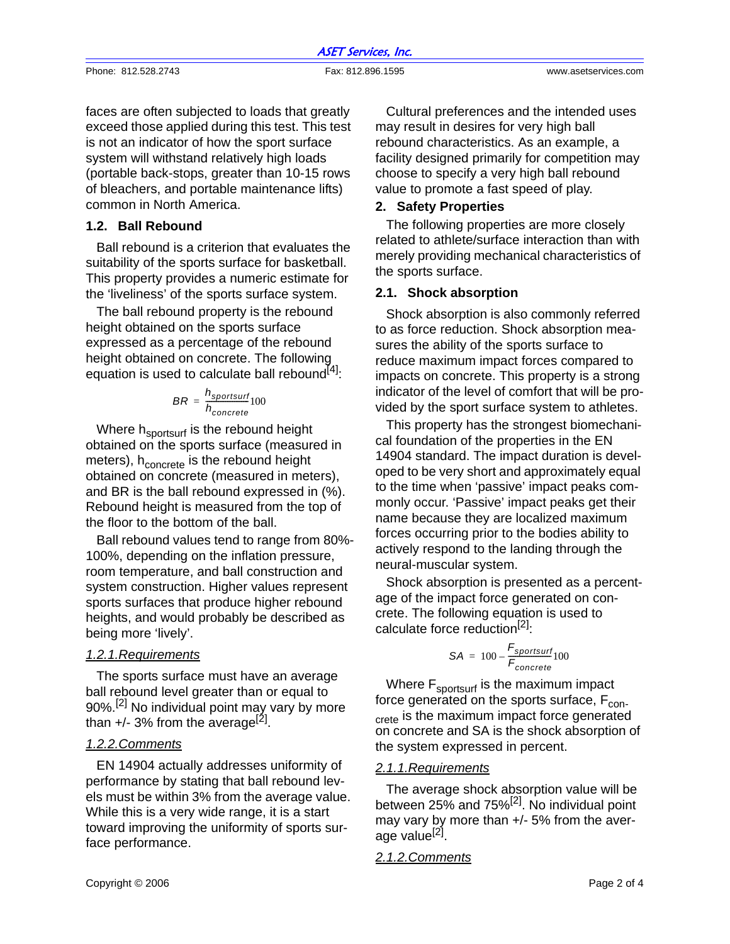|                     | <b>ASET Services, Inc.</b> |                      |
|---------------------|----------------------------|----------------------|
| Phone: 812.528.2743 | Fax: 812.896.1595          | www.asetservices.com |

faces are often subjected to loads that greatly exceed those applied during this test. This test is not an indicator of how the sport surface system will withstand relatively high loads (portable back-stops, greater than 10-15 rows of bleachers, and portable maintenance lifts) common in North America.

#### **1.2. Ball Rebound**

Ball rebound is a criterion that evaluates the suitability of the sports surface for basketball. This property provides a numeric estimate for the 'liveliness' of the sports surface system.

The ball rebound property is the rebound height obtained on the sports surface expressed as a percentage of the rebound height obtained on concrete. The following equation is used to calculate ball rebound<sup>[4]</sup>:

$$
BR = \frac{h_{sportsurf}}{h_{concrete}} 100
$$

Where h<sub>sportsurf</sub> is the rebound height obtained on the sports surface (measured in meters), h<sub>concrete</sub> is the rebound height obtained on concrete (measured in meters), and BR is the ball rebound expressed in (%). Rebound height is measured from the top of the floor to the bottom of the ball.

Ball rebound values tend to range from 80%- 100%, depending on the inflation pressure, room temperature, and ball construction and system construction. Higher values represent sports surfaces that produce higher rebound heights, and would probably be described as being more 'lively'.

#### *1.2.1.Requirements*

The sports surface must have an average ball rebound level greater than or equal to 90%.<sup>[2]</sup> No individual point may vary by more than  $+/- 3\%$  from the average<sup>[2]</sup>.

#### *1.2.2.Comments*

EN 14904 actually addresses uniformity of performance by stating that ball rebound levels must be within 3% from the average value. While this is a very wide range, it is a start toward improving the uniformity of sports surface performance.

Cultural preferences and the intended uses may result in desires for very high ball rebound characteristics. As an example, a facility designed primarily for competition may choose to specify a very high ball rebound value to promote a fast speed of play.

#### **2. Safety Properties**

The following properties are more closely related to athlete/surface interaction than with merely providing mechanical characteristics of the sports surface.

#### **2.1. Shock absorption**

Shock absorption is also commonly referred to as force reduction. Shock absorption measures the ability of the sports surface to reduce maximum impact forces compared to impacts on concrete. This property is a strong indicator of the level of comfort that will be provided by the sport surface system to athletes.

This property has the strongest biomechanical foundation of the properties in the EN 14904 standard. The impact duration is developed to be very short and approximately equal to the time when 'passive' impact peaks commonly occur. 'Passive' impact peaks get their name because they are localized maximum forces occurring prior to the bodies ability to actively respond to the landing through the neural-muscular system.

Shock absorption is presented as a percentage of the impact force generated on concrete. The following equation is used to calculate force reduction<sup>[2]</sup>.

$$
SA = 100 - \frac{F_{sportsurf}}{F_{concrete}}
$$

Where F<sub>sportsurf</sub> is the maximum impact force generated on the sports surface,  $F_{\text{con-}}$ crete is the maximum impact force generated on concrete and SA is the shock absorption of the system expressed in percent.

#### *2.1.1.Requirements*

The average shock absorption value will be between 25% and  $75\%$ <sup>[2]</sup>. No individual point may vary by more than +/- 5% from the average value<sup>[2]</sup>.

#### *2.1.2.Comments*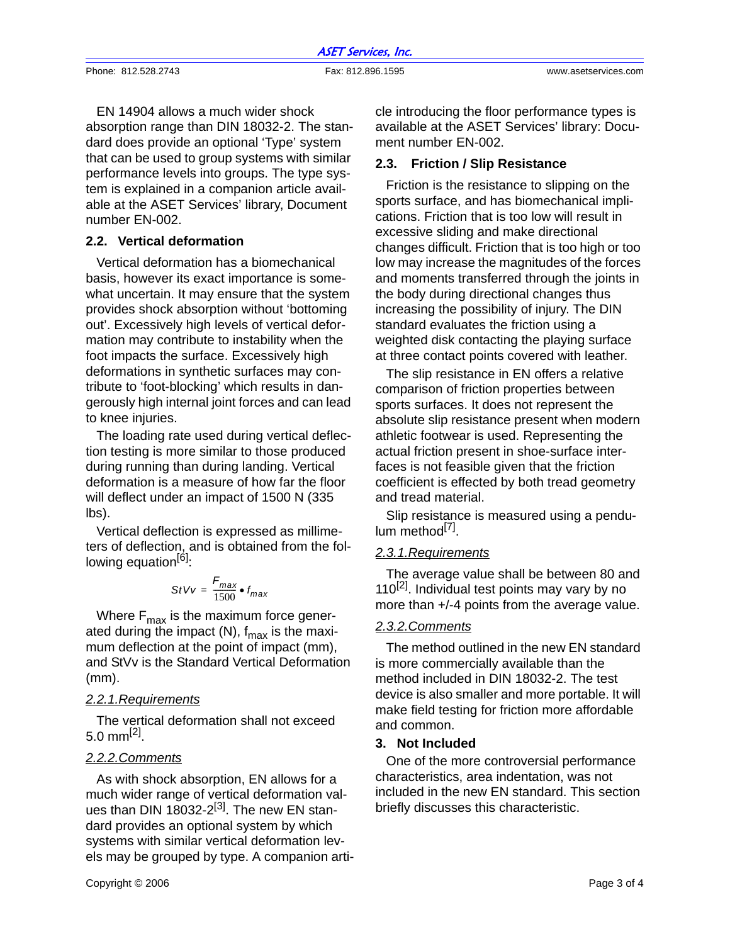ASET Services, Inc.

Phone: 812.528.2743 Fax: 812.896.1595 www.asetservices.com

EN 14904 allows a much wider shock absorption range than DIN 18032-2. The standard does provide an optional 'Type' system that can be used to group systems with similar performance levels into groups. The type system is explained in a companion article available at the ASET Services' library, Document number EN-002.

#### **2.2. Vertical deformation**

Vertical deformation has a biomechanical basis, however its exact importance is somewhat uncertain. It may ensure that the system provides shock absorption without 'bottoming out'. Excessively high levels of vertical deformation may contribute to instability when the foot impacts the surface. Excessively high deformations in synthetic surfaces may contribute to 'foot-blocking' which results in dangerously high internal joint forces and can lead to knee injuries.

The loading rate used during vertical deflection testing is more similar to those produced during running than during landing. Vertical deformation is a measure of how far the floor will deflect under an impact of 1500 N (335 lbs).

Vertical deflection is expressed as millimeters of deflection, and is obtained from the following equation $[6]$ :

$$
StVv = \frac{F_{max}}{1500} \bullet f_{max}
$$

Where  $F_{\text{max}}$  is the maximum force generated during the impact (N),  $f_{\text{max}}$  is the maximum deflection at the point of impact (mm), and StVv is the Standard Vertical Deformation (mm).

# *2.2.1.Requirements*

The vertical deformation shall not exceed 5.0 mm $^{[2]}$ .

#### *2.2.2.Comments*

As with shock absorption, EN allows for a much wider range of vertical deformation values than DIN 18032-2 $^{[3]}$ . The new EN standard provides an optional system by which systems with similar vertical deformation levels may be grouped by type. A companion article introducing the floor performance types is available at the ASET Services' library: Document number EN-002.

#### **2.3. Friction / Slip Resistance**

Friction is the resistance to slipping on the sports surface, and has biomechanical implications. Friction that is too low will result in excessive sliding and make directional changes difficult. Friction that is too high or too low may increase the magnitudes of the forces and moments transferred through the joints in the body during directional changes thus increasing the possibility of injury. The DIN standard evaluates the friction using a weighted disk contacting the playing surface at three contact points covered with leather.

The slip resistance in EN offers a relative comparison of friction properties between sports surfaces. It does not represent the absolute slip resistance present when modern athletic footwear is used. Representing the actual friction present in shoe-surface interfaces is not feasible given that the friction coefficient is effected by both tread geometry and tread material.

Slip resistance is measured using a pendulum method<sup>[7]</sup>.

# *2.3.1.Requirements*

The average value shall be between 80 and 110<sup>[2]</sup>. Individual test points may vary by no more than +/-4 points from the average value.

#### *2.3.2.Comments*

The method outlined in the new EN standard is more commercially available than the method included in DIN 18032-2. The test device is also smaller and more portable. It will make field testing for friction more affordable and common.

#### **3. Not Included**

One of the more controversial performance characteristics, area indentation, was not included in the new EN standard. This section briefly discusses this characteristic.